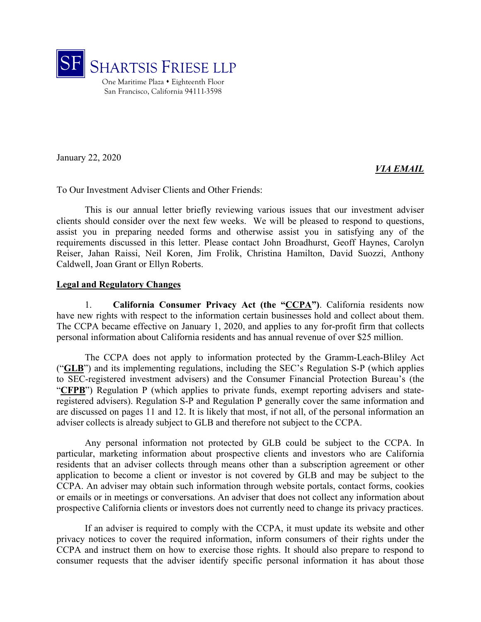

January 22, 2020

#### *VIA EMAIL*

To Our Investment Adviser Clients and Other Friends:

This is our annual letter briefly reviewing various issues that our investment adviser clients should consider over the next few weeks. We will be pleased to respond to questions, assist you in preparing needed forms and otherwise assist you in satisfying any of the requirements discussed in this letter. Please contact John Broadhurst, Geoff Haynes, Carolyn Reiser, Jahan Raissi, Neil Koren, Jim Frolik, Christina Hamilton, David Suozzi, Anthony Caldwell, Joan Grant or Ellyn Roberts.

#### **Legal and Regulatory Changes**

1. **California Consumer Privacy Act (the "CCPA")**. California residents now have new rights with respect to the information certain businesses hold and collect about them. The CCPA became effective on January 1, 2020, and applies to any for-profit firm that collects personal information about California residents and has annual revenue of over \$25 million.

The CCPA does not apply to information protected by the Gramm-Leach-Bliley Act ("**GLB**") and its implementing regulations, including the SEC's Regulation S-P (which applies to SEC-registered investment advisers) and the Consumer Financial Protection Bureau's (the "**CFPB**") Regulation P (which applies to private funds, exempt reporting advisers and stateregistered advisers). Regulation S-P and Regulation P generally cover the same information and are discussed on pages 11 and 12. It is likely that most, if not all, of the personal information an adviser collects is already subject to GLB and therefore not subject to the CCPA.

Any personal information not protected by GLB could be subject to the CCPA. In particular, marketing information about prospective clients and investors who are California residents that an adviser collects through means other than a subscription agreement or other application to become a client or investor is not covered by GLB and may be subject to the CCPA. An adviser may obtain such information through website portals, contact forms, cookies or emails or in meetings or conversations. An adviser that does not collect any information about prospective California clients or investors does not currently need to change its privacy practices.

If an adviser is required to comply with the CCPA, it must update its website and other privacy notices to cover the required information, inform consumers of their rights under the CCPA and instruct them on how to exercise those rights. It should also prepare to respond to consumer requests that the adviser identify specific personal information it has about those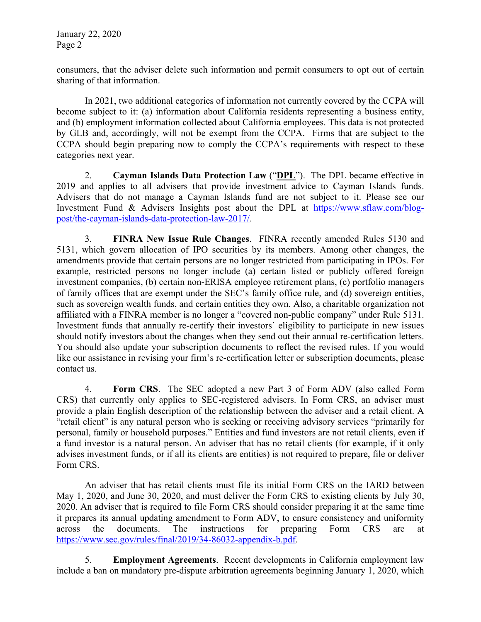consumers, that the adviser delete such information and permit consumers to opt out of certain sharing of that information.

In 2021, two additional categories of information not currently covered by the CCPA will become subject to it: (a) information about California residents representing a business entity, and (b) employment information collected about California employees. This data is not protected by GLB and, accordingly, will not be exempt from the CCPA. Firms that are subject to the CCPA should begin preparing now to comply the CCPA's requirements with respect to these categories next year.

2. **Cayman Islands Data Protection Law** ("**DPL**"). The DPL became effective in 2019 and applies to all advisers that provide investment advice to Cayman Islands funds. Advisers that do not manage a Cayman Islands fund are not subject to it. Please see our Investment Fund & Advisers Insights post about the DPL at https://www.sflaw.com/blogpost/the-cayman-islands-data-protection-law-2017/.

3. **FINRA New Issue Rule Changes**. FINRA recently amended Rules 5130 and 5131, which govern allocation of IPO securities by its members. Among other changes, the amendments provide that certain persons are no longer restricted from participating in IPOs. For example, restricted persons no longer include (a) certain listed or publicly offered foreign investment companies, (b) certain non-ERISA employee retirement plans, (c) portfolio managers of family offices that are exempt under the SEC's family office rule, and (d) sovereign entities, such as sovereign wealth funds, and certain entities they own. Also, a charitable organization not affiliated with a FINRA member is no longer a "covered non-public company" under Rule 5131. Investment funds that annually re-certify their investors' eligibility to participate in new issues should notify investors about the changes when they send out their annual re-certification letters. You should also update your subscription documents to reflect the revised rules. If you would like our assistance in revising your firm's re-certification letter or subscription documents, please contact us.

4. **Form CRS**. The SEC adopted a new Part 3 of Form ADV (also called Form CRS) that currently only applies to SEC-registered advisers. In Form CRS, an adviser must provide a plain English description of the relationship between the adviser and a retail client. A "retail client" is any natural person who is seeking or receiving advisory services "primarily for personal, family or household purposes." Entities and fund investors are not retail clients, even if a fund investor is a natural person. An adviser that has no retail clients (for example, if it only advises investment funds, or if all its clients are entities) is not required to prepare, file or deliver Form CRS.

An adviser that has retail clients must file its initial Form CRS on the IARD between May 1, 2020, and June 30, 2020, and must deliver the Form CRS to existing clients by July 30, 2020. An adviser that is required to file Form CRS should consider preparing it at the same time it prepares its annual updating amendment to Form ADV, to ensure consistency and uniformity across the documents. The instructions for preparing Form CRS are at https://www.sec.gov/rules/final/2019/34-86032-appendix-b.pdf.

5. **Employment Agreements**. Recent developments in California employment law include a ban on mandatory pre-dispute arbitration agreements beginning January 1, 2020, which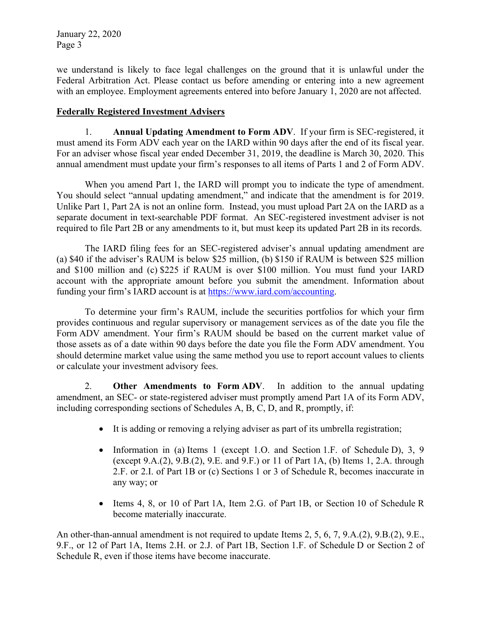we understand is likely to face legal challenges on the ground that it is unlawful under the Federal Arbitration Act. Please contact us before amending or entering into a new agreement with an employee. Employment agreements entered into before January 1, 2020 are not affected.

#### **Federally Registered Investment Advisers**

1. **Annual Updating Amendment to Form ADV**. If your firm is SEC-registered, it must amend its Form ADV each year on the IARD within 90 days after the end of its fiscal year. For an adviser whose fiscal year ended December 31, 2019, the deadline is March 30, 2020. This annual amendment must update your firm's responses to all items of Parts 1 and 2 of Form ADV.

When you amend Part 1, the IARD will prompt you to indicate the type of amendment. You should select "annual updating amendment," and indicate that the amendment is for 2019. Unlike Part 1, Part 2A is not an online form. Instead, you must upload Part 2A on the IARD as a separate document in text-searchable PDF format. An SEC-registered investment adviser is not required to file Part 2B or any amendments to it, but must keep its updated Part 2B in its records.

The IARD filing fees for an SEC-registered adviser's annual updating amendment are (a) \$40 if the adviser's RAUM is below \$25 million, (b) \$150 if RAUM is between \$25 million and \$100 million and (c) \$225 if RAUM is over \$100 million. You must fund your IARD account with the appropriate amount before you submit the amendment. Information about funding your firm's IARD account is at https://www.iard.com/accounting.

To determine your firm's RAUM, include the securities portfolios for which your firm provides continuous and regular supervisory or management services as of the date you file the Form ADV amendment. Your firm's RAUM should be based on the current market value of those assets as of a date within 90 days before the date you file the Form ADV amendment. You should determine market value using the same method you use to report account values to clients or calculate your investment advisory fees.

2. **Other Amendments to Form ADV**. In addition to the annual updating amendment, an SEC- or state-registered adviser must promptly amend Part 1A of its Form ADV, including corresponding sections of Schedules A, B, C, D, and R, promptly, if:

- It is adding or removing a relying adviser as part of its umbrella registration;
- Information in (a) Items 1 (except 1.O. and Section 1.F. of Schedule D), 3, 9 (except 9.A.(2), 9.B.(2), 9.E. and 9.F.) or 11 of Part 1A, (b) Items 1, 2.A. through 2.F. or 2.I. of Part 1B or (c) Sections 1 or 3 of Schedule R, becomes inaccurate in any way; or
- Items 4, 8, or 10 of Part 1A, Item 2.G. of Part 1B, or Section 10 of Schedule R become materially inaccurate.

An other-than-annual amendment is not required to update Items 2, 5, 6, 7, 9.A.(2), 9.B.(2), 9.E., 9.F., or 12 of Part 1A, Items 2.H. or 2.J. of Part 1B, Section 1.F. of Schedule D or Section 2 of Schedule R, even if those items have become inaccurate.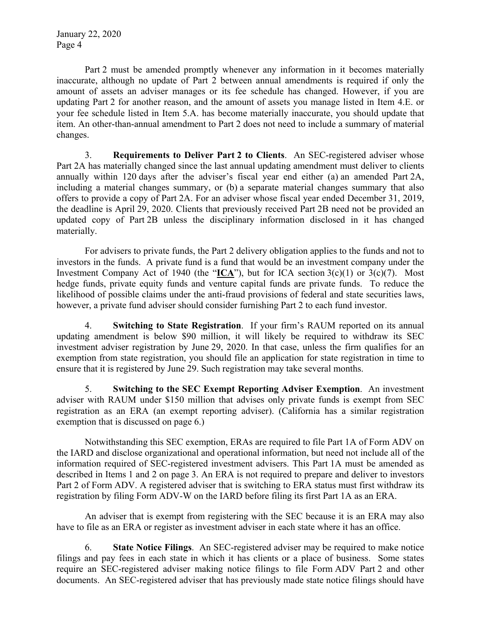Part 2 must be amended promptly whenever any information in it becomes materially inaccurate, although no update of Part 2 between annual amendments is required if only the amount of assets an adviser manages or its fee schedule has changed. However, if you are updating Part 2 for another reason, and the amount of assets you manage listed in Item 4.E. or your fee schedule listed in Item 5.A. has become materially inaccurate, you should update that item. An other-than-annual amendment to Part 2 does not need to include a summary of material changes.

3. **Requirements to Deliver Part 2 to Clients**. An SEC-registered adviser whose Part 2A has materially changed since the last annual updating amendment must deliver to clients annually within 120 days after the adviser's fiscal year end either (a) an amended Part 2A, including a material changes summary, or (b) a separate material changes summary that also offers to provide a copy of Part 2A. For an adviser whose fiscal year ended December 31, 2019, the deadline is April 29, 2020. Clients that previously received Part 2B need not be provided an updated copy of Part 2B unless the disciplinary information disclosed in it has changed materially.

For advisers to private funds, the Part 2 delivery obligation applies to the funds and not to investors in the funds. A private fund is a fund that would be an investment company under the Investment Company Act of 1940 (the " $ICA$ "), but for ICA section 3(c)(1) or 3(c)(7). Most hedge funds, private equity funds and venture capital funds are private funds. To reduce the likelihood of possible claims under the anti-fraud provisions of federal and state securities laws, however, a private fund adviser should consider furnishing Part 2 to each fund investor.

4. **Switching to State Registration**. If your firm's RAUM reported on its annual updating amendment is below \$90 million, it will likely be required to withdraw its SEC investment adviser registration by June 29, 2020. In that case, unless the firm qualifies for an exemption from state registration, you should file an application for state registration in time to ensure that it is registered by June 29. Such registration may take several months.

5. **Switching to the SEC Exempt Reporting Adviser Exemption**. An investment adviser with RAUM under \$150 million that advises only private funds is exempt from SEC registration as an ERA (an exempt reporting adviser). (California has a similar registration exemption that is discussed on page 6.)

Notwithstanding this SEC exemption, ERAs are required to file Part 1A of Form ADV on the IARD and disclose organizational and operational information, but need not include all of the information required of SEC-registered investment advisers. This Part 1A must be amended as described in Items 1 and 2 on page 3. An ERA is not required to prepare and deliver to investors Part 2 of Form ADV. A registered adviser that is switching to ERA status must first withdraw its registration by filing Form ADV-W on the IARD before filing its first Part 1A as an ERA.

An adviser that is exempt from registering with the SEC because it is an ERA may also have to file as an ERA or register as investment adviser in each state where it has an office.

6. **State Notice Filings**. An SEC-registered adviser may be required to make notice filings and pay fees in each state in which it has clients or a place of business. Some states require an SEC-registered adviser making notice filings to file Form ADV Part 2 and other documents. An SEC-registered adviser that has previously made state notice filings should have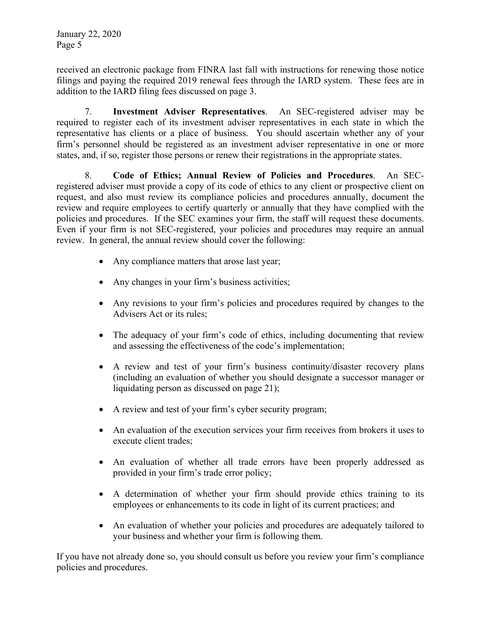received an electronic package from FINRA last fall with instructions for renewing those notice filings and paying the required 2019 renewal fees through the IARD system. These fees are in addition to the IARD filing fees discussed on page 3.

7. **Investment Adviser Representatives**. An SEC-registered adviser may be required to register each of its investment adviser representatives in each state in which the representative has clients or a place of business. You should ascertain whether any of your firm's personnel should be registered as an investment adviser representative in one or more states, and, if so, register those persons or renew their registrations in the appropriate states.

8. **Code of Ethics; Annual Review of Policies and Procedures**. An SECregistered adviser must provide a copy of its code of ethics to any client or prospective client on request, and also must review its compliance policies and procedures annually, document the review and require employees to certify quarterly or annually that they have complied with the policies and procedures. If the SEC examines your firm, the staff will request these documents. Even if your firm is not SEC-registered, your policies and procedures may require an annual review. In general, the annual review should cover the following:

- Any compliance matters that arose last year;
- Any changes in your firm's business activities;
- Any revisions to your firm's policies and procedures required by changes to the Advisers Act or its rules;
- The adequacy of your firm's code of ethics, including documenting that review and assessing the effectiveness of the code's implementation;
- A review and test of your firm's business continuity/disaster recovery plans (including an evaluation of whether you should designate a successor manager or liquidating person as discussed on page 21);
- A review and test of your firm's cyber security program;
- An evaluation of the execution services your firm receives from brokers it uses to execute client trades;
- An evaluation of whether all trade errors have been properly addressed as provided in your firm's trade error policy;
- A determination of whether your firm should provide ethics training to its employees or enhancements to its code in light of its current practices; and
- An evaluation of whether your policies and procedures are adequately tailored to your business and whether your firm is following them.

If you have not already done so, you should consult us before you review your firm's compliance policies and procedures.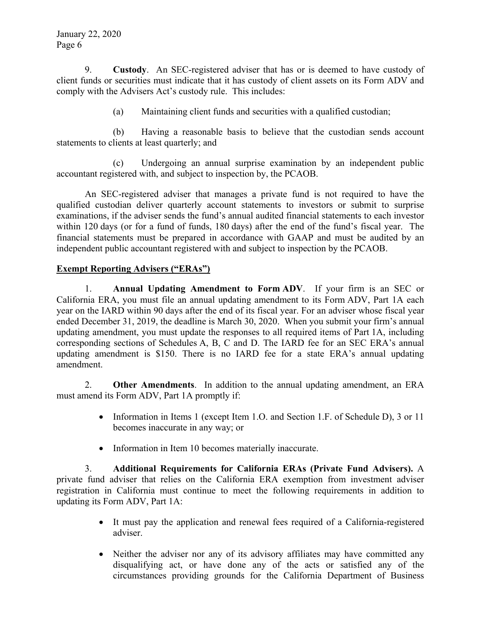9. **Custody**. An SEC-registered adviser that has or is deemed to have custody of client funds or securities must indicate that it has custody of client assets on its Form ADV and comply with the Advisers Act's custody rule. This includes:

(a) Maintaining client funds and securities with a qualified custodian;

(b) Having a reasonable basis to believe that the custodian sends account statements to clients at least quarterly; and

(c) Undergoing an annual surprise examination by an independent public accountant registered with, and subject to inspection by, the PCAOB.

An SEC-registered adviser that manages a private fund is not required to have the qualified custodian deliver quarterly account statements to investors or submit to surprise examinations, if the adviser sends the fund's annual audited financial statements to each investor within 120 days (or for a fund of funds, 180 days) after the end of the fund's fiscal year. The financial statements must be prepared in accordance with GAAP and must be audited by an independent public accountant registered with and subject to inspection by the PCAOB.

## **Exempt Reporting Advisers ("ERAs")**

1. **Annual Updating Amendment to Form ADV**. If your firm is an SEC or California ERA, you must file an annual updating amendment to its Form ADV, Part 1A each year on the IARD within 90 days after the end of its fiscal year. For an adviser whose fiscal year ended December 31, 2019, the deadline is March 30, 2020. When you submit your firm's annual updating amendment, you must update the responses to all required items of Part 1A, including corresponding sections of Schedules A, B, C and D. The IARD fee for an SEC ERA's annual updating amendment is \$150. There is no IARD fee for a state ERA's annual updating amendment.

2. **Other Amendments**. In addition to the annual updating amendment, an ERA must amend its Form ADV, Part 1A promptly if:

- Information in Items 1 (except Item 1.0. and Section 1.F. of Schedule D), 3 or 11 becomes inaccurate in any way; or
- Information in Item 10 becomes materially inaccurate.

3. **Additional Requirements for California ERAs (Private Fund Advisers).** A private fund adviser that relies on the California ERA exemption from investment adviser registration in California must continue to meet the following requirements in addition to updating its Form ADV, Part 1A:

- It must pay the application and renewal fees required of a California-registered adviser.
- Neither the adviser nor any of its advisory affiliates may have committed any disqualifying act, or have done any of the acts or satisfied any of the circumstances providing grounds for the California Department of Business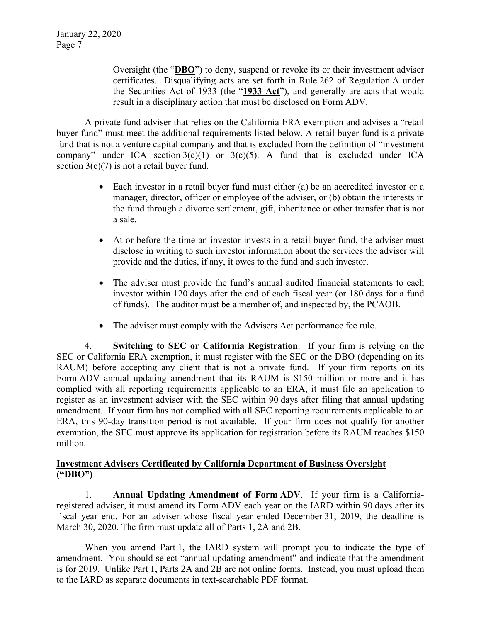Oversight (the "**DBO**") to deny, suspend or revoke its or their investment adviser certificates. Disqualifying acts are set forth in Rule 262 of Regulation A under the Securities Act of 1933 (the "**1933 Act**"), and generally are acts that would result in a disciplinary action that must be disclosed on Form ADV.

A private fund adviser that relies on the California ERA exemption and advises a "retail buyer fund" must meet the additional requirements listed below. A retail buyer fund is a private fund that is not a venture capital company and that is excluded from the definition of "investment company" under ICA section  $3(c)(1)$  or  $3(c)(5)$ . A fund that is excluded under ICA section  $3(c)(7)$  is not a retail buyer fund.

- Each investor in a retail buyer fund must either (a) be an accredited investor or a manager, director, officer or employee of the adviser, or (b) obtain the interests in the fund through a divorce settlement, gift, inheritance or other transfer that is not a sale.
- At or before the time an investor invests in a retail buyer fund, the adviser must disclose in writing to such investor information about the services the adviser will provide and the duties, if any, it owes to the fund and such investor.
- The adviser must provide the fund's annual audited financial statements to each investor within 120 days after the end of each fiscal year (or 180 days for a fund of funds). The auditor must be a member of, and inspected by, the PCAOB.
- The adviser must comply with the Advisers Act performance fee rule.

4. **Switching to SEC or California Registration**. If your firm is relying on the SEC or California ERA exemption, it must register with the SEC or the DBO (depending on its RAUM) before accepting any client that is not a private fund. If your firm reports on its Form ADV annual updating amendment that its RAUM is \$150 million or more and it has complied with all reporting requirements applicable to an ERA, it must file an application to register as an investment adviser with the SEC within 90 days after filing that annual updating amendment. If your firm has not complied with all SEC reporting requirements applicable to an ERA, this 90-day transition period is not available. If your firm does not qualify for another exemption, the SEC must approve its application for registration before its RAUM reaches \$150 million.

#### **Investment Advisers Certificated by California Department of Business Oversight ("DBO")**

1. **Annual Updating Amendment of Form ADV**. If your firm is a Californiaregistered adviser, it must amend its Form ADV each year on the IARD within 90 days after its fiscal year end. For an adviser whose fiscal year ended December 31, 2019, the deadline is March 30, 2020. The firm must update all of Parts 1, 2A and 2B.

When you amend Part 1, the IARD system will prompt you to indicate the type of amendment. You should select "annual updating amendment" and indicate that the amendment is for 2019. Unlike Part 1, Parts 2A and 2B are not online forms. Instead, you must upload them to the IARD as separate documents in text-searchable PDF format.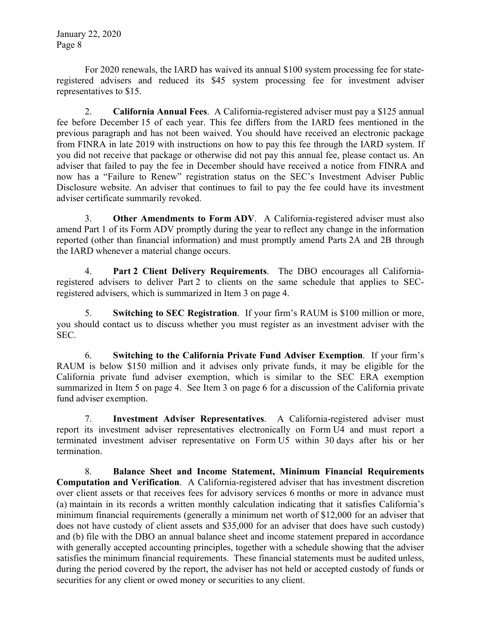For 2020 renewals, the IARD has waived its annual \$100 system processing fee for stateregistered advisers and reduced its \$45 system processing fee for investment adviser representatives to \$15.

2. **California Annual Fees**. A California-registered adviser must pay a \$125 annual fee before December 15 of each year. This fee differs from the IARD fees mentioned in the previous paragraph and has not been waived. You should have received an electronic package from FINRA in late 2019 with instructions on how to pay this fee through the IARD system. If you did not receive that package or otherwise did not pay this annual fee, please contact us. An adviser that failed to pay the fee in December should have received a notice from FINRA and now has a "Failure to Renew" registration status on the SEC's Investment Adviser Public Disclosure website. An adviser that continues to fail to pay the fee could have its investment adviser certificate summarily revoked.

3. **Other Amendments to Form ADV**. A California-registered adviser must also amend Part 1 of its Form ADV promptly during the year to reflect any change in the information reported (other than financial information) and must promptly amend Parts 2A and 2B through the IARD whenever a material change occurs.

4. **Part 2 Client Delivery Requirements**. The DBO encourages all Californiaregistered advisers to deliver Part 2 to clients on the same schedule that applies to SECregistered advisers, which is summarized in Item 3 on page 4.

5. **Switching to SEC Registration**. If your firm's RAUM is \$100 million or more, you should contact us to discuss whether you must register as an investment adviser with the SEC.

6. **Switching to the California Private Fund Adviser Exemption**. If your firm's RAUM is below \$150 million and it advises only private funds, it may be eligible for the California private fund adviser exemption, which is similar to the SEC ERA exemption summarized in Item 5 on page 4. See Item 3 on page 6 for a discussion of the California private fund adviser exemption.

7. **Investment Adviser Representatives**. A California-registered adviser must report its investment adviser representatives electronically on Form U4 and must report a terminated investment adviser representative on Form U5 within 30 days after his or her termination.

8. **Balance Sheet and Income Statement, Minimum Financial Requirements Computation and Verification**. A California-registered adviser that has investment discretion over client assets or that receives fees for advisory services 6 months or more in advance must (a) maintain in its records a written monthly calculation indicating that it satisfies California's minimum financial requirements (generally a minimum net worth of \$12,000 for an adviser that does not have custody of client assets and \$35,000 for an adviser that does have such custody) and (b) file with the DBO an annual balance sheet and income statement prepared in accordance with generally accepted accounting principles, together with a schedule showing that the adviser satisfies the minimum financial requirements. These financial statements must be audited unless, during the period covered by the report, the adviser has not held or accepted custody of funds or securities for any client or owed money or securities to any client.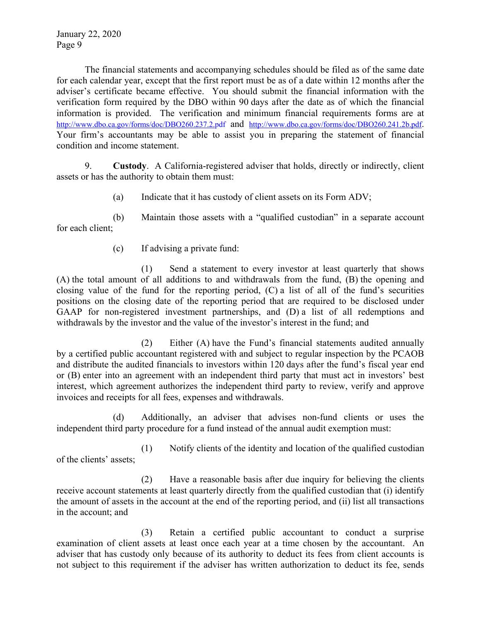The financial statements and accompanying schedules should be filed as of the same date for each calendar year, except that the first report must be as of a date within 12 months after the adviser's certificate became effective. You should submit the financial information with the verification form required by the DBO within 90 days after the date as of which the financial information is provided. The verification and minimum financial requirements forms are at http://www.dbo.ca.gov/forms/doc/DBO260.237.2.pdf and http://www.dbo.ca.gov/forms/doc/DBO260.241.2b.pdf. Your firm's accountants may be able to assist you in preparing the statement of financial condition and income statement.

9. **Custody**. A California-registered adviser that holds, directly or indirectly, client assets or has the authority to obtain them must:

(a) Indicate that it has custody of client assets on its Form ADV;

(b) Maintain those assets with a "qualified custodian" in a separate account for each client;

(c) If advising a private fund:

(1) Send a statement to every investor at least quarterly that shows (A) the total amount of all additions to and withdrawals from the fund, (B) the opening and closing value of the fund for the reporting period, (C) a list of all of the fund's securities positions on the closing date of the reporting period that are required to be disclosed under GAAP for non-registered investment partnerships, and (D) a list of all redemptions and withdrawals by the investor and the value of the investor's interest in the fund; and

(2) Either (A) have the Fund's financial statements audited annually by a certified public accountant registered with and subject to regular inspection by the PCAOB and distribute the audited financials to investors within 120 days after the fund's fiscal year end or (B) enter into an agreement with an independent third party that must act in investors' best interest, which agreement authorizes the independent third party to review, verify and approve invoices and receipts for all fees, expenses and withdrawals.

(d) Additionally, an adviser that advises non-fund clients or uses the independent third party procedure for a fund instead of the annual audit exemption must:

(1) Notify clients of the identity and location of the qualified custodian of the clients' assets;

(2) Have a reasonable basis after due inquiry for believing the clients receive account statements at least quarterly directly from the qualified custodian that (i) identify the amount of assets in the account at the end of the reporting period, and (ii) list all transactions in the account; and

(3) Retain a certified public accountant to conduct a surprise examination of client assets at least once each year at a time chosen by the accountant. An adviser that has custody only because of its authority to deduct its fees from client accounts is not subject to this requirement if the adviser has written authorization to deduct its fee, sends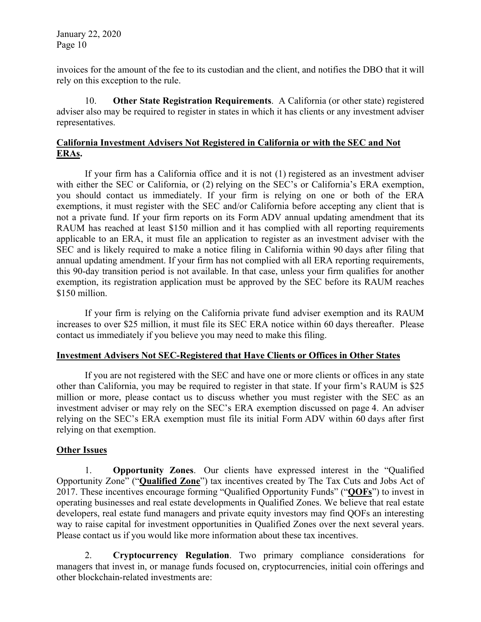invoices for the amount of the fee to its custodian and the client, and notifies the DBO that it will rely on this exception to the rule.

10. **Other State Registration Requirements**. A California (or other state) registered adviser also may be required to register in states in which it has clients or any investment adviser representatives.

## **California Investment Advisers Not Registered in California or with the SEC and Not ERAs.**

If your firm has a California office and it is not (1) registered as an investment adviser with either the SEC or California, or (2) relying on the SEC's or California's ERA exemption, you should contact us immediately. If your firm is relying on one or both of the ERA exemptions, it must register with the SEC and/or California before accepting any client that is not a private fund. If your firm reports on its Form ADV annual updating amendment that its RAUM has reached at least \$150 million and it has complied with all reporting requirements applicable to an ERA, it must file an application to register as an investment adviser with the SEC and is likely required to make a notice filing in California within 90 days after filing that annual updating amendment. If your firm has not complied with all ERA reporting requirements, this 90-day transition period is not available. In that case, unless your firm qualifies for another exemption, its registration application must be approved by the SEC before its RAUM reaches \$150 million.

If your firm is relying on the California private fund adviser exemption and its RAUM increases to over \$25 million, it must file its SEC ERA notice within 60 days thereafter. Please contact us immediately if you believe you may need to make this filing.

## **Investment Advisers Not SEC-Registered that Have Clients or Offices in Other States**

If you are not registered with the SEC and have one or more clients or offices in any state other than California, you may be required to register in that state. If your firm's RAUM is \$25 million or more, please contact us to discuss whether you must register with the SEC as an investment adviser or may rely on the SEC's ERA exemption discussed on page 4. An adviser relying on the SEC's ERA exemption must file its initial Form ADV within 60 days after first relying on that exemption.

## **Other Issues**

1. **Opportunity Zones**. Our clients have expressed interest in the "Qualified Opportunity Zone" ("**Qualified Zone**") tax incentives created by The Tax Cuts and Jobs Act of 2017. These incentives encourage forming "Qualified Opportunity Funds" ("**QOFs**") to invest in operating businesses and real estate developments in Qualified Zones. We believe that real estate developers, real estate fund managers and private equity investors may find QOFs an interesting way to raise capital for investment opportunities in Qualified Zones over the next several years. Please contact us if you would like more information about these tax incentives.

2. **Cryptocurrency Regulation**. Two primary compliance considerations for managers that invest in, or manage funds focused on, cryptocurrencies, initial coin offerings and other blockchain-related investments are: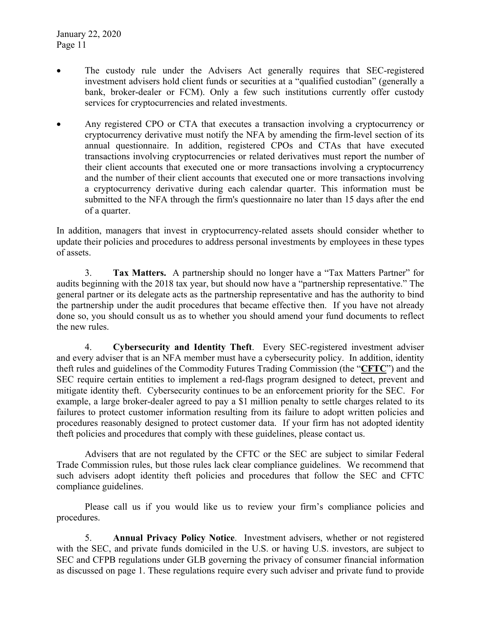- The custody rule under the Advisers Act generally requires that SEC-registered investment advisers hold client funds or securities at a "qualified custodian" (generally a bank, broker-dealer or FCM). Only a few such institutions currently offer custody services for cryptocurrencies and related investments.
- Any registered CPO or CTA that executes a transaction involving a cryptocurrency or cryptocurrency derivative must notify the NFA by amending the firm-level section of its annual questionnaire. In addition, registered CPOs and CTAs that have executed transactions involving cryptocurrencies or related derivatives must report the number of their client accounts that executed one or more transactions involving a cryptocurrency and the number of their client accounts that executed one or more transactions involving a cryptocurrency derivative during each calendar quarter. This information must be submitted to the NFA through the firm's questionnaire no later than 15 days after the end of a quarter.

In addition, managers that invest in cryptocurrency-related assets should consider whether to update their policies and procedures to address personal investments by employees in these types of assets.

3. **Tax Matters.** A partnership should no longer have a "Tax Matters Partner" for audits beginning with the 2018 tax year, but should now have a "partnership representative." The general partner or its delegate acts as the partnership representative and has the authority to bind the partnership under the audit procedures that became effective then. If you have not already done so, you should consult us as to whether you should amend your fund documents to reflect the new rules.

4. **Cybersecurity and Identity Theft**. Every SEC-registered investment adviser and every adviser that is an NFA member must have a cybersecurity policy. In addition, identity theft rules and guidelines of the Commodity Futures Trading Commission (the "**CFTC**") and the SEC require certain entities to implement a red-flags program designed to detect, prevent and mitigate identity theft. Cybersecurity continues to be an enforcement priority for the SEC. For example, a large broker-dealer agreed to pay a \$1 million penalty to settle charges related to its failures to protect customer information resulting from its failure to adopt written policies and procedures reasonably designed to protect customer data. If your firm has not adopted identity theft policies and procedures that comply with these guidelines, please contact us.

Advisers that are not regulated by the CFTC or the SEC are subject to similar Federal Trade Commission rules, but those rules lack clear compliance guidelines. We recommend that such advisers adopt identity theft policies and procedures that follow the SEC and CFTC compliance guidelines.

Please call us if you would like us to review your firm's compliance policies and procedures.

5. **Annual Privacy Policy Notice**. Investment advisers, whether or not registered with the SEC, and private funds domiciled in the U.S. or having U.S. investors, are subject to SEC and CFPB regulations under GLB governing the privacy of consumer financial information as discussed on page 1. These regulations require every such adviser and private fund to provide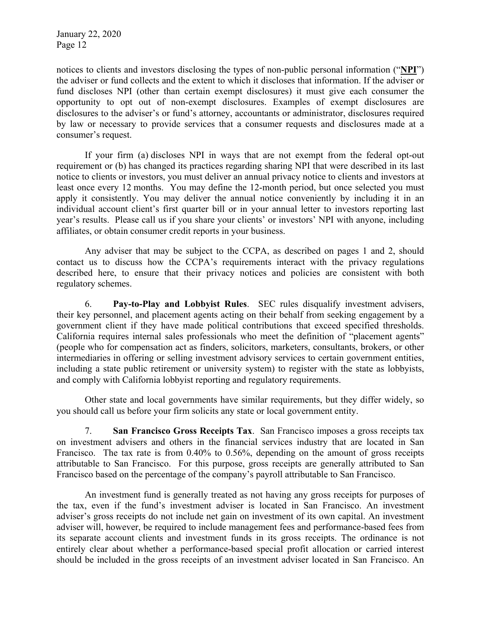notices to clients and investors disclosing the types of non-public personal information ("**NPI**") the adviser or fund collects and the extent to which it discloses that information. If the adviser or fund discloses NPI (other than certain exempt disclosures) it must give each consumer the opportunity to opt out of non-exempt disclosures. Examples of exempt disclosures are disclosures to the adviser's or fund's attorney, accountants or administrator, disclosures required by law or necessary to provide services that a consumer requests and disclosures made at a consumer's request.

If your firm (a) discloses NPI in ways that are not exempt from the federal opt-out requirement or (b) has changed its practices regarding sharing NPI that were described in its last notice to clients or investors, you must deliver an annual privacy notice to clients and investors at least once every 12 months. You may define the 12-month period, but once selected you must apply it consistently. You may deliver the annual notice conveniently by including it in an individual account client's first quarter bill or in your annual letter to investors reporting last year's results. Please call us if you share your clients' or investors' NPI with anyone, including affiliates, or obtain consumer credit reports in your business.

Any adviser that may be subject to the CCPA, as described on pages 1 and 2, should contact us to discuss how the CCPA's requirements interact with the privacy regulations described here, to ensure that their privacy notices and policies are consistent with both regulatory schemes.

6. **Pay-to-Play and Lobbyist Rules**. SEC rules disqualify investment advisers, their key personnel, and placement agents acting on their behalf from seeking engagement by a government client if they have made political contributions that exceed specified thresholds. California requires internal sales professionals who meet the definition of "placement agents" (people who for compensation act as finders, solicitors, marketers, consultants, brokers, or other intermediaries in offering or selling investment advisory services to certain government entities, including a state public retirement or university system) to register with the state as lobbyists, and comply with California lobbyist reporting and regulatory requirements.

Other state and local governments have similar requirements, but they differ widely, so you should call us before your firm solicits any state or local government entity.

7. **San Francisco Gross Receipts Tax**. San Francisco imposes a gross receipts tax on investment advisers and others in the financial services industry that are located in San Francisco. The tax rate is from 0.40% to 0.56%, depending on the amount of gross receipts attributable to San Francisco. For this purpose, gross receipts are generally attributed to San Francisco based on the percentage of the company's payroll attributable to San Francisco.

An investment fund is generally treated as not having any gross receipts for purposes of the tax, even if the fund's investment adviser is located in San Francisco. An investment adviser's gross receipts do not include net gain on investment of its own capital. An investment adviser will, however, be required to include management fees and performance-based fees from its separate account clients and investment funds in its gross receipts. The ordinance is not entirely clear about whether a performance-based special profit allocation or carried interest should be included in the gross receipts of an investment adviser located in San Francisco. An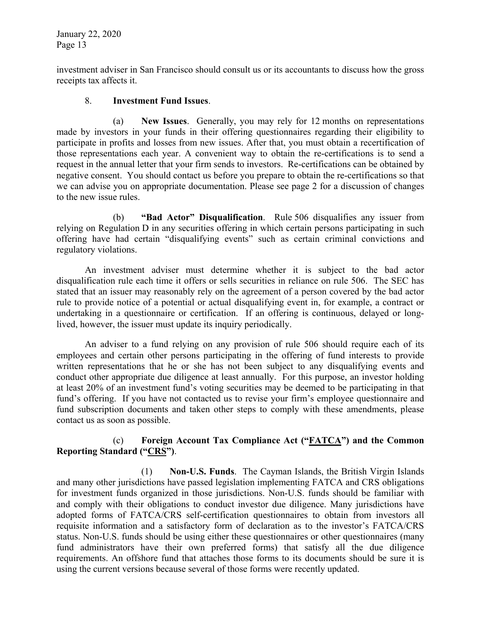investment adviser in San Francisco should consult us or its accountants to discuss how the gross receipts tax affects it.

#### 8. **Investment Fund Issues**.

(a) **New Issues**. Generally, you may rely for 12 months on representations made by investors in your funds in their offering questionnaires regarding their eligibility to participate in profits and losses from new issues. After that, you must obtain a recertification of those representations each year. A convenient way to obtain the re-certifications is to send a request in the annual letter that your firm sends to investors. Re-certifications can be obtained by negative consent. You should contact us before you prepare to obtain the re-certifications so that we can advise you on appropriate documentation. Please see page 2 for a discussion of changes to the new issue rules.

(b) **"Bad Actor" Disqualification**. Rule 506 disqualifies any issuer from relying on Regulation D in any securities offering in which certain persons participating in such offering have had certain "disqualifying events" such as certain criminal convictions and regulatory violations.

An investment adviser must determine whether it is subject to the bad actor disqualification rule each time it offers or sells securities in reliance on rule 506. The SEC has stated that an issuer may reasonably rely on the agreement of a person covered by the bad actor rule to provide notice of a potential or actual disqualifying event in, for example, a contract or undertaking in a questionnaire or certification. If an offering is continuous, delayed or longlived, however, the issuer must update its inquiry periodically.

An adviser to a fund relying on any provision of rule 506 should require each of its employees and certain other persons participating in the offering of fund interests to provide written representations that he or she has not been subject to any disqualifying events and conduct other appropriate due diligence at least annually. For this purpose, an investor holding at least 20% of an investment fund's voting securities may be deemed to be participating in that fund's offering. If you have not contacted us to revise your firm's employee questionnaire and fund subscription documents and taken other steps to comply with these amendments, please contact us as soon as possible.

## (c) **Foreign Account Tax Compliance Act ("FATCA") and the Common Reporting Standard ("CRS")**.

(1) **Non-U.S. Funds**. The Cayman Islands, the British Virgin Islands and many other jurisdictions have passed legislation implementing FATCA and CRS obligations for investment funds organized in those jurisdictions. Non-U.S. funds should be familiar with and comply with their obligations to conduct investor due diligence. Many jurisdictions have adopted forms of FATCA/CRS self-certification questionnaires to obtain from investors all requisite information and a satisfactory form of declaration as to the investor's FATCA/CRS status. Non-U.S. funds should be using either these questionnaires or other questionnaires (many fund administrators have their own preferred forms) that satisfy all the due diligence requirements. An offshore fund that attaches those forms to its documents should be sure it is using the current versions because several of those forms were recently updated.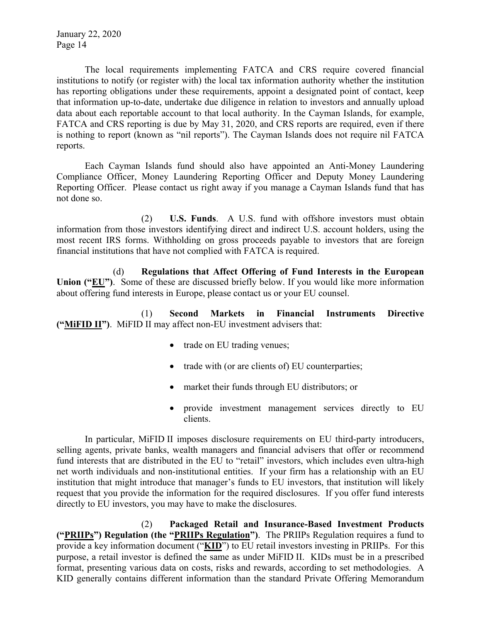The local requirements implementing FATCA and CRS require covered financial institutions to notify (or register with) the local tax information authority whether the institution has reporting obligations under these requirements, appoint a designated point of contact, keep that information up-to-date, undertake due diligence in relation to investors and annually upload data about each reportable account to that local authority. In the Cayman Islands, for example, FATCA and CRS reporting is due by May 31, 2020, and CRS reports are required, even if there is nothing to report (known as "nil reports"). The Cayman Islands does not require nil FATCA reports.

Each Cayman Islands fund should also have appointed an Anti-Money Laundering Compliance Officer, Money Laundering Reporting Officer and Deputy Money Laundering Reporting Officer. Please contact us right away if you manage a Cayman Islands fund that has not done so.

(2) **U.S. Funds**. A U.S. fund with offshore investors must obtain information from those investors identifying direct and indirect U.S. account holders, using the most recent IRS forms. Withholding on gross proceeds payable to investors that are foreign financial institutions that have not complied with FATCA is required.

(d) **Regulations that Affect Offering of Fund Interests in the European Union ("EU")**. Some of these are discussed briefly below. If you would like more information about offering fund interests in Europe, please contact us or your EU counsel.

(1) **Second Markets in Financial Instruments Directive ("MiFID II")**. MiFID II may affect non-EU investment advisers that:

- trade on EU trading venues;
- trade with (or are clients of) EU counterparties;
- market their funds through EU distributors; or
- provide investment management services directly to EU clients.

In particular, MiFID II imposes disclosure requirements on EU third-party introducers, selling agents, private banks, wealth managers and financial advisers that offer or recommend fund interests that are distributed in the EU to "retail" investors, which includes even ultra-high net worth individuals and non-institutional entities. If your firm has a relationship with an EU institution that might introduce that manager's funds to EU investors, that institution will likely request that you provide the information for the required disclosures. If you offer fund interests directly to EU investors, you may have to make the disclosures.

(2) **Packaged Retail and Insurance-Based Investment Products ("PRIIPs") Regulation (the "PRIIPs Regulation")**. The PRIIPs Regulation requires a fund to provide a key information document ("**KID**") to EU retail investors investing in PRIIPs. For this purpose, a retail investor is defined the same as under MiFID II. KIDs must be in a prescribed format, presenting various data on costs, risks and rewards, according to set methodologies. A KID generally contains different information than the standard Private Offering Memorandum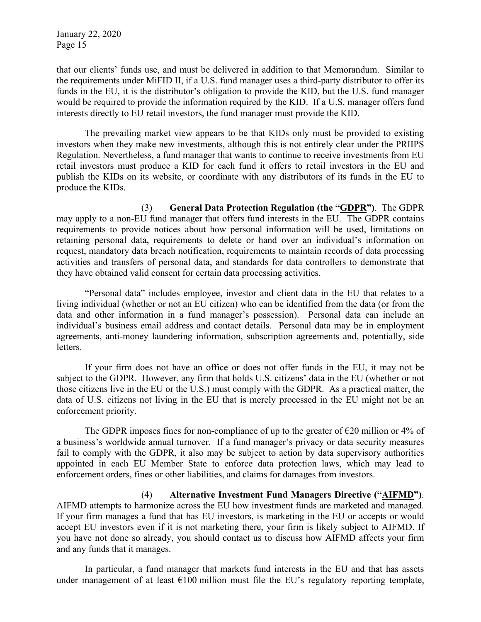that our clients' funds use, and must be delivered in addition to that Memorandum. Similar to the requirements under MiFID II, if a U.S. fund manager uses a third-party distributor to offer its funds in the EU, it is the distributor's obligation to provide the KID, but the U.S. fund manager would be required to provide the information required by the KID. If a U.S. manager offers fund interests directly to EU retail investors, the fund manager must provide the KID.

The prevailing market view appears to be that KIDs only must be provided to existing investors when they make new investments, although this is not entirely clear under the PRIIPS Regulation. Nevertheless, a fund manager that wants to continue to receive investments from EU retail investors must produce a KID for each fund it offers to retail investors in the EU and publish the KIDs on its website, or coordinate with any distributors of its funds in the EU to produce the KIDs.

(3) **General Data Protection Regulation (the "GDPR")**. The GDPR may apply to a non-EU fund manager that offers fund interests in the EU. The GDPR contains requirements to provide notices about how personal information will be used, limitations on retaining personal data, requirements to delete or hand over an individual's information on request, mandatory data breach notification, requirements to maintain records of data processing activities and transfers of personal data, and standards for data controllers to demonstrate that they have obtained valid consent for certain data processing activities.

"Personal data" includes employee, investor and client data in the EU that relates to a living individual (whether or not an EU citizen) who can be identified from the data (or from the data and other information in a fund manager's possession). Personal data can include an individual's business email address and contact details. Personal data may be in employment agreements, anti-money laundering information, subscription agreements and, potentially, side letters.

If your firm does not have an office or does not offer funds in the EU, it may not be subject to the GDPR. However, any firm that holds U.S. citizens' data in the EU (whether or not those citizens live in the EU or the U.S.) must comply with the GDPR. As a practical matter, the data of U.S. citizens not living in the EU that is merely processed in the EU might not be an enforcement priority.

The GDPR imposes fines for non-compliance of up to the greater of  $\epsilon$ 20 million or 4% of a business's worldwide annual turnover. If a fund manager's privacy or data security measures fail to comply with the GDPR, it also may be subject to action by data supervisory authorities appointed in each EU Member State to enforce data protection laws, which may lead to enforcement orders, fines or other liabilities, and claims for damages from investors.

(4) **Alternative Investment Fund Managers Directive ("AIFMD")**. AIFMD attempts to harmonize across the EU how investment funds are marketed and managed. If your firm manages a fund that has EU investors, is marketing in the EU or accepts or would accept EU investors even if it is not marketing there, your firm is likely subject to AIFMD. If you have not done so already, you should contact us to discuss how AIFMD affects your firm and any funds that it manages.

In particular, a fund manager that markets fund interests in the EU and that has assets under management of at least  $\epsilon$ 100 million must file the EU's regulatory reporting template,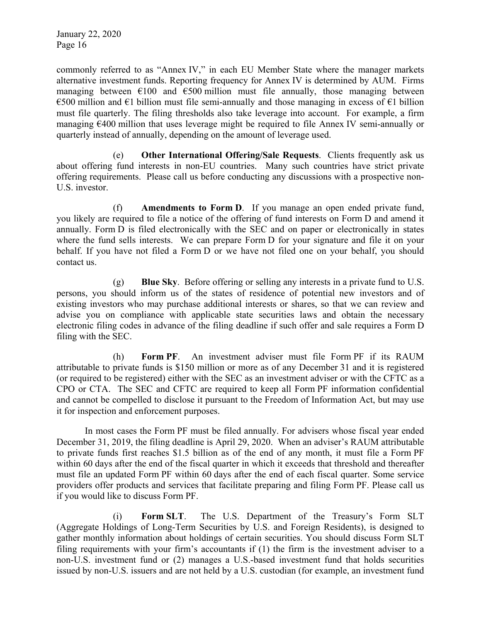commonly referred to as "Annex IV," in each EU Member State where the manager markets alternative investment funds. Reporting frequency for Annex IV is determined by AUM. Firms managing between  $\epsilon$ 100 and  $\epsilon$ 500 million must file annually, those managing between €500 million and €1 billion must file semi-annually and those managing in excess of €1 billion must file quarterly. The filing thresholds also take leverage into account. For example, a firm managing €400 million that uses leverage might be required to file Annex IV semi-annually or quarterly instead of annually, depending on the amount of leverage used.

(e) **Other International Offering/Sale Requests**. Clients frequently ask us about offering fund interests in non-EU countries. Many such countries have strict private offering requirements. Please call us before conducting any discussions with a prospective non-U.S. investor.

(f) **Amendments to Form D**. If you manage an open ended private fund, you likely are required to file a notice of the offering of fund interests on Form D and amend it annually. Form D is filed electronically with the SEC and on paper or electronically in states where the fund sells interests. We can prepare Form D for your signature and file it on your behalf. If you have not filed a Form D or we have not filed one on your behalf, you should contact us.

(g) **Blue Sky**. Before offering or selling any interests in a private fund to U.S. persons, you should inform us of the states of residence of potential new investors and of existing investors who may purchase additional interests or shares, so that we can review and advise you on compliance with applicable state securities laws and obtain the necessary electronic filing codes in advance of the filing deadline if such offer and sale requires a Form D filing with the SEC.

(h) **Form PF**. An investment adviser must file Form PF if its RAUM attributable to private funds is \$150 million or more as of any December 31 and it is registered (or required to be registered) either with the SEC as an investment adviser or with the CFTC as a CPO or CTA. The SEC and CFTC are required to keep all Form PF information confidential and cannot be compelled to disclose it pursuant to the Freedom of Information Act, but may use it for inspection and enforcement purposes.

In most cases the Form PF must be filed annually. For advisers whose fiscal year ended December 31, 2019, the filing deadline is April 29, 2020. When an adviser's RAUM attributable to private funds first reaches \$1.5 billion as of the end of any month, it must file a Form PF within 60 days after the end of the fiscal quarter in which it exceeds that threshold and thereafter must file an updated Form PF within 60 days after the end of each fiscal quarter. Some service providers offer products and services that facilitate preparing and filing Form PF. Please call us if you would like to discuss Form PF.

(i) **Form SLT**. The U.S. Department of the Treasury's Form SLT (Aggregate Holdings of Long-Term Securities by U.S. and Foreign Residents), is designed to gather monthly information about holdings of certain securities. You should discuss Form SLT filing requirements with your firm's accountants if (1) the firm is the investment adviser to a non-U.S. investment fund or (2) manages a U.S.-based investment fund that holds securities issued by non-U.S. issuers and are not held by a U.S. custodian (for example, an investment fund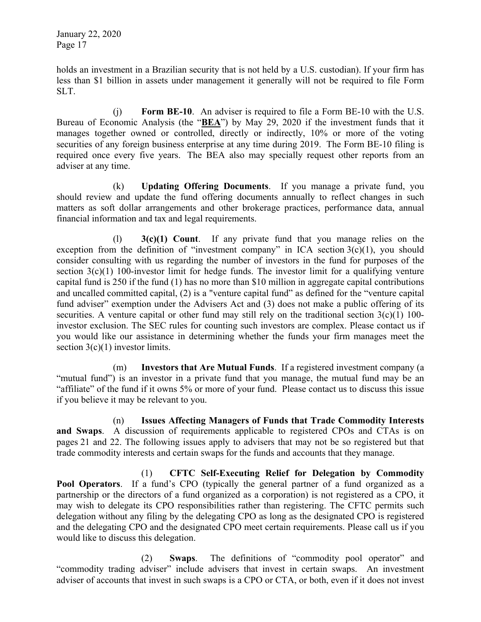holds an investment in a Brazilian security that is not held by a U.S. custodian). If your firm has less than \$1 billion in assets under management it generally will not be required to file Form SLT.

(j) **Form BE-10**. An adviser is required to file a Form BE-10 with the U.S. Bureau of Economic Analysis (the "**BEA**") by May 29, 2020 if the investment funds that it manages together owned or controlled, directly or indirectly, 10% or more of the voting securities of any foreign business enterprise at any time during 2019. The Form BE-10 filing is required once every five years. The BEA also may specially request other reports from an adviser at any time.

(k) **Updating Offering Documents**. If you manage a private fund, you should review and update the fund offering documents annually to reflect changes in such matters as soft dollar arrangements and other brokerage practices, performance data, annual financial information and tax and legal requirements.

(l) **3(c)(1) Count**. If any private fund that you manage relies on the exception from the definition of "investment company" in ICA section  $3(c)(1)$ , you should consider consulting with us regarding the number of investors in the fund for purposes of the section 3(c)(1) 100-investor limit for hedge funds. The investor limit for a qualifying venture capital fund is 250 if the fund (1) has no more than \$10 million in aggregate capital contributions and uncalled committed capital, (2) is a "venture capital fund" as defined for the "venture capital fund adviser" exemption under the Advisers Act and (3) does not make a public offering of its securities. A venture capital or other fund may still rely on the traditional section  $3(c)(1)$  100investor exclusion. The SEC rules for counting such investors are complex. Please contact us if you would like our assistance in determining whether the funds your firm manages meet the section  $3(c)(1)$  investor limits.

(m) **Investors that Are Mutual Funds**. If a registered investment company (a "mutual fund") is an investor in a private fund that you manage, the mutual fund may be an "affiliate" of the fund if it owns 5% or more of your fund. Please contact us to discuss this issue if you believe it may be relevant to you.

(n) **Issues Affecting Managers of Funds that Trade Commodity Interests and Swaps**. A discussion of requirements applicable to registered CPOs and CTAs is on pages 21 and 22. The following issues apply to advisers that may not be so registered but that trade commodity interests and certain swaps for the funds and accounts that they manage.

(1) **CFTC Self-Executing Relief for Delegation by Commodity Pool Operators**. If a fund's CPO (typically the general partner of a fund organized as a partnership or the directors of a fund organized as a corporation) is not registered as a CPO, it may wish to delegate its CPO responsibilities rather than registering. The CFTC permits such delegation without any filing by the delegating CPO as long as the designated CPO is registered and the delegating CPO and the designated CPO meet certain requirements. Please call us if you would like to discuss this delegation.

(2) **Swaps**. The definitions of "commodity pool operator" and "commodity trading adviser" include advisers that invest in certain swaps. An investment adviser of accounts that invest in such swaps is a CPO or CTA, or both, even if it does not invest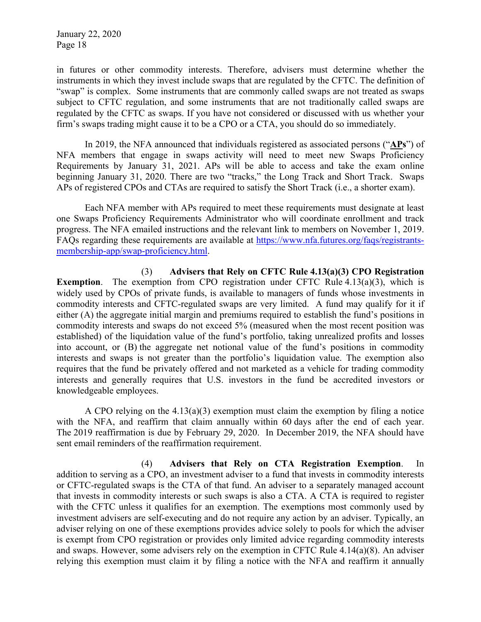in futures or other commodity interests. Therefore, advisers must determine whether the instruments in which they invest include swaps that are regulated by the CFTC. The definition of "swap" is complex. Some instruments that are commonly called swaps are not treated as swaps subject to CFTC regulation, and some instruments that are not traditionally called swaps are regulated by the CFTC as swaps. If you have not considered or discussed with us whether your firm's swaps trading might cause it to be a CPO or a CTA, you should do so immediately.

In 2019, the NFA announced that individuals registered as associated persons ("**APs**") of NFA members that engage in swaps activity will need to meet new Swaps Proficiency Requirements by January 31, 2021. APs will be able to access and take the exam online beginning January 31, 2020. There are two "tracks," the Long Track and Short Track. Swaps APs of registered CPOs and CTAs are required to satisfy the Short Track (i.e., a shorter exam).

Each NFA member with APs required to meet these requirements must designate at least one Swaps Proficiency Requirements Administrator who will coordinate enrollment and track progress. The NFA emailed instructions and the relevant link to members on November 1, 2019. FAQs regarding these requirements are available at https://www.nfa.futures.org/faqs/registrantsmembership-app/swap-proficiency.html.

(3) **Advisers that Rely on CFTC Rule 4.13(a)(3) CPO Registration Exemption.** The exemption from CPO registration under CFTC Rule 4.13(a)(3), which is widely used by CPOs of private funds, is available to managers of funds whose investments in commodity interests and CFTC-regulated swaps are very limited. A fund may qualify for it if either (A) the aggregate initial margin and premiums required to establish the fund's positions in commodity interests and swaps do not exceed 5% (measured when the most recent position was established) of the liquidation value of the fund's portfolio, taking unrealized profits and losses into account, or (B) the aggregate net notional value of the fund's positions in commodity interests and swaps is not greater than the portfolio's liquidation value. The exemption also requires that the fund be privately offered and not marketed as a vehicle for trading commodity interests and generally requires that U.S. investors in the fund be accredited investors or knowledgeable employees.

A CPO relying on the 4.13(a)(3) exemption must claim the exemption by filing a notice with the NFA, and reaffirm that claim annually within 60 days after the end of each year. The 2019 reaffirmation is due by February 29, 2020. In December 2019, the NFA should have sent email reminders of the reaffirmation requirement.

(4) **Advisers that Rely on CTA Registration Exemption**. In addition to serving as a CPO, an investment adviser to a fund that invests in commodity interests or CFTC-regulated swaps is the CTA of that fund. An adviser to a separately managed account that invests in commodity interests or such swaps is also a CTA. A CTA is required to register with the CFTC unless it qualifies for an exemption. The exemptions most commonly used by investment advisers are self-executing and do not require any action by an adviser. Typically, an adviser relying on one of these exemptions provides advice solely to pools for which the adviser is exempt from CPO registration or provides only limited advice regarding commodity interests and swaps. However, some advisers rely on the exemption in CFTC Rule 4.14(a)(8). An adviser relying this exemption must claim it by filing a notice with the NFA and reaffirm it annually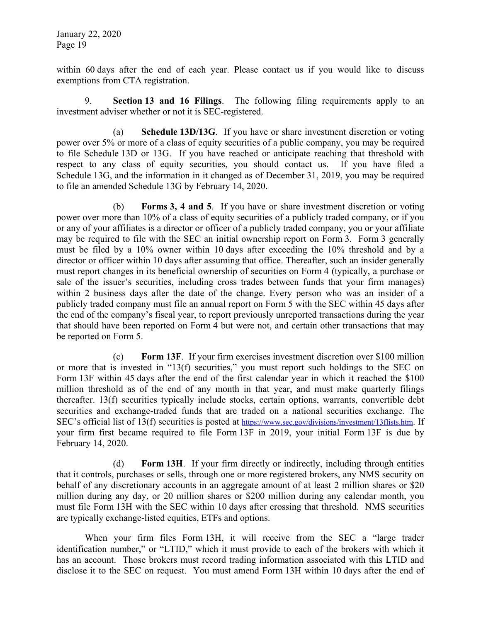within 60 days after the end of each year. Please contact us if you would like to discuss exemptions from CTA registration.

9. **Section 13 and 16 Filings**. The following filing requirements apply to an investment adviser whether or not it is SEC-registered.

(a) **Schedule 13D/13G**. If you have or share investment discretion or voting power over 5% or more of a class of equity securities of a public company, you may be required to file Schedule 13D or 13G. If you have reached or anticipate reaching that threshold with respect to any class of equity securities, you should contact us. If you have filed a Schedule 13G, and the information in it changed as of December 31, 2019, you may be required to file an amended Schedule 13G by February 14, 2020.

(b) **Forms 3, 4 and 5**. If you have or share investment discretion or voting power over more than 10% of a class of equity securities of a publicly traded company, or if you or any of your affiliates is a director or officer of a publicly traded company, you or your affiliate may be required to file with the SEC an initial ownership report on Form 3. Form 3 generally must be filed by a 10% owner within 10 days after exceeding the 10% threshold and by a director or officer within 10 days after assuming that office. Thereafter, such an insider generally must report changes in its beneficial ownership of securities on Form 4 (typically, a purchase or sale of the issuer's securities, including cross trades between funds that your firm manages) within 2 business days after the date of the change. Every person who was an insider of a publicly traded company must file an annual report on Form 5 with the SEC within 45 days after the end of the company's fiscal year, to report previously unreported transactions during the year that should have been reported on Form 4 but were not, and certain other transactions that may be reported on Form 5.

(c) **Form 13F**. If your firm exercises investment discretion over \$100 million or more that is invested in "13(f) securities," you must report such holdings to the SEC on Form 13F within 45 days after the end of the first calendar year in which it reached the \$100 million threshold as of the end of any month in that year, and must make quarterly filings thereafter. 13(f) securities typically include stocks, certain options, warrants, convertible debt securities and exchange-traded funds that are traded on a national securities exchange. The SEC's official list of 13(f) securities is posted at https://www.sec.gov/divisions/investment/13flists.htm. If your firm first became required to file Form 13F in 2019, your initial Form 13F is due by February 14, 2020.

(d) **Form 13H**. If your firm directly or indirectly, including through entities that it controls, purchases or sells, through one or more registered brokers, any NMS security on behalf of any discretionary accounts in an aggregate amount of at least 2 million shares or \$20 million during any day, or 20 million shares or \$200 million during any calendar month, you must file Form 13H with the SEC within 10 days after crossing that threshold. NMS securities are typically exchange-listed equities, ETFs and options.

When your firm files Form 13H, it will receive from the SEC a "large trader identification number," or "LTID," which it must provide to each of the brokers with which it has an account. Those brokers must record trading information associated with this LTID and disclose it to the SEC on request. You must amend Form 13H within 10 days after the end of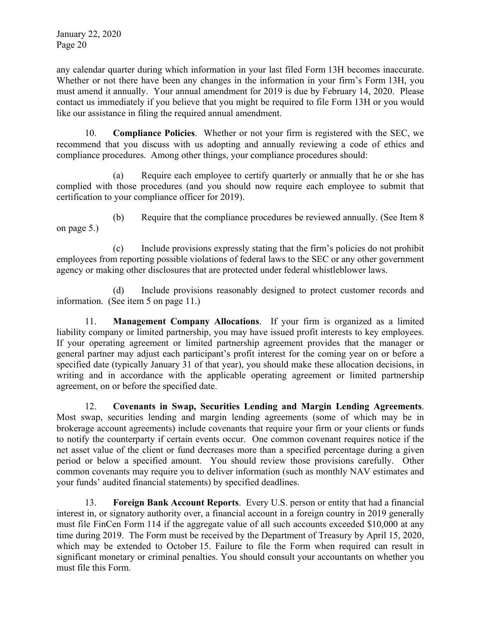any calendar quarter during which information in your last filed Form 13H becomes inaccurate. Whether or not there have been any changes in the information in your firm's Form 13H, you must amend it annually. Your annual amendment for 2019 is due by February 14, 2020. Please contact us immediately if you believe that you might be required to file Form 13H or you would like our assistance in filing the required annual amendment.

10. **Compliance Policies**. Whether or not your firm is registered with the SEC, we recommend that you discuss with us adopting and annually reviewing a code of ethics and compliance procedures. Among other things, your compliance procedures should:

(a) Require each employee to certify quarterly or annually that he or she has complied with those procedures (and you should now require each employee to submit that certification to your compliance officer for 2019).

(b) Require that the compliance procedures be reviewed annually. (See Item 8 on page 5.)

(c) Include provisions expressly stating that the firm's policies do not prohibit employees from reporting possible violations of federal laws to the SEC or any other government agency or making other disclosures that are protected under federal whistleblower laws.

(d) Include provisions reasonably designed to protect customer records and information. (See item 5 on page 11.)

11. **Management Company Allocations**. If your firm is organized as a limited liability company or limited partnership, you may have issued profit interests to key employees. If your operating agreement or limited partnership agreement provides that the manager or general partner may adjust each participant's profit interest for the coming year on or before a specified date (typically January 31 of that year), you should make these allocation decisions, in writing and in accordance with the applicable operating agreement or limited partnership agreement, on or before the specified date.

12. **Covenants in Swap, Securities Lending and Margin Lending Agreements**. Most swap, securities lending and margin lending agreements (some of which may be in brokerage account agreements) include covenants that require your firm or your clients or funds to notify the counterparty if certain events occur. One common covenant requires notice if the net asset value of the client or fund decreases more than a specified percentage during a given period or below a specified amount. You should review those provisions carefully. Other common covenants may require you to deliver information (such as monthly NAV estimates and your funds' audited financial statements) by specified deadlines.

13. **Foreign Bank Account Reports**. Every U.S. person or entity that had a financial interest in, or signatory authority over, a financial account in a foreign country in 2019 generally must file FinCen Form 114 if the aggregate value of all such accounts exceeded \$10,000 at any time during 2019. The Form must be received by the Department of Treasury by April 15, 2020, which may be extended to October 15. Failure to file the Form when required can result in significant monetary or criminal penalties. You should consult your accountants on whether you must file this Form.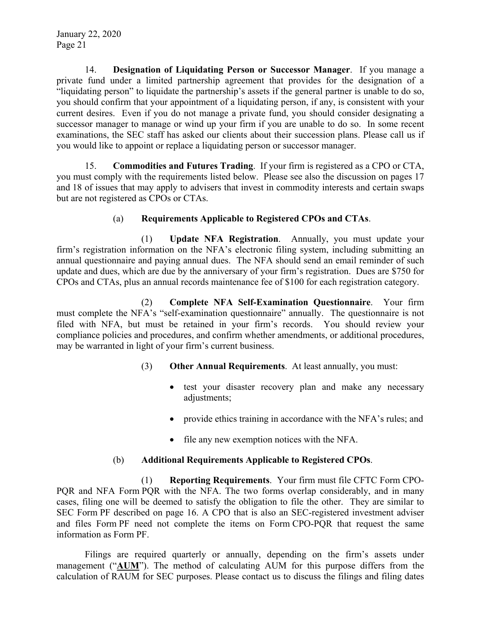14. **Designation of Liquidating Person or Successor Manager**. If you manage a private fund under a limited partnership agreement that provides for the designation of a "liquidating person" to liquidate the partnership's assets if the general partner is unable to do so, you should confirm that your appointment of a liquidating person, if any, is consistent with your current desires. Even if you do not manage a private fund, you should consider designating a successor manager to manage or wind up your firm if you are unable to do so. In some recent examinations, the SEC staff has asked our clients about their succession plans. Please call us if you would like to appoint or replace a liquidating person or successor manager.

15. **Commodities and Futures Trading**. If your firm is registered as a CPO or CTA, you must comply with the requirements listed below. Please see also the discussion on pages 17 and 18 of issues that may apply to advisers that invest in commodity interests and certain swaps but are not registered as CPOs or CTAs.

## (a) **Requirements Applicable to Registered CPOs and CTAs**.

(1) **Update NFA Registration**. Annually, you must update your firm's registration information on the NFA's electronic filing system, including submitting an annual questionnaire and paying annual dues. The NFA should send an email reminder of such update and dues, which are due by the anniversary of your firm's registration. Dues are \$750 for CPOs and CTAs, plus an annual records maintenance fee of \$100 for each registration category.

(2) **Complete NFA Self-Examination Questionnaire**. Your firm must complete the NFA's "self-examination questionnaire" annually. The questionnaire is not filed with NFA, but must be retained in your firm's records. You should review your compliance policies and procedures, and confirm whether amendments, or additional procedures, may be warranted in light of your firm's current business.

- (3) **Other Annual Requirements**. At least annually, you must:
	- test your disaster recovery plan and make any necessary adjustments;
	- provide ethics training in accordance with the NFA's rules; and
	- file any new exemption notices with the NFA.

# (b) **Additional Requirements Applicable to Registered CPOs**.

(1) **Reporting Requirements**. Your firm must file CFTC Form CPO-PQR and NFA Form PQR with the NFA. The two forms overlap considerably, and in many cases, filing one will be deemed to satisfy the obligation to file the other. They are similar to SEC Form PF described on page 16. A CPO that is also an SEC-registered investment adviser and files Form PF need not complete the items on Form CPO-PQR that request the same information as Form PF.

Filings are required quarterly or annually, depending on the firm's assets under management ("**AUM**"). The method of calculating AUM for this purpose differs from the calculation of RAUM for SEC purposes. Please contact us to discuss the filings and filing dates